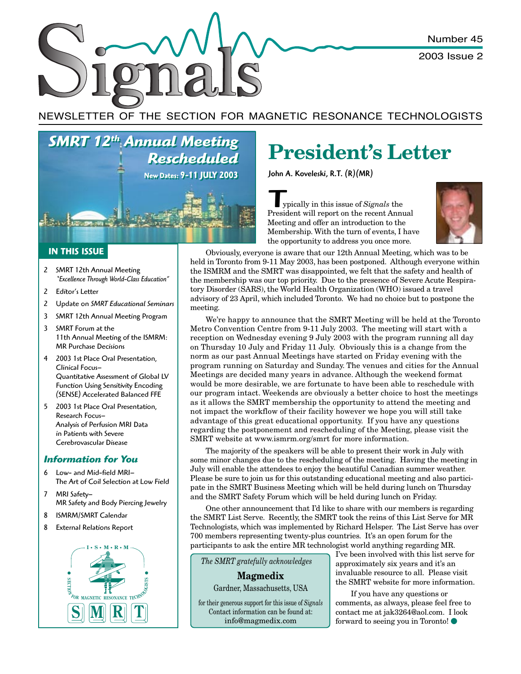Number 45

2003 Issue 2

NEWSLETTER OF THE SECTION FOR MAGNETIC RESONANCE TECHNOLOGISTS

*SMRT 12th Annual Meeting SMRT 12th Annual Meeting Rescheduled Rescheduled* **New Dates: 9-11 JULY 2003 New Dates: 9-11 JULY 2003**

#### **IN THIS ISSUE**

- 2 SMRT 12th Annual Meeting *"Excellence Through World-Class Education"*
- 2 Editor's Letter
- 2 Update on *SMRT Educational Seminars*
- 3 SMRT 12th Annual Meeting Program
- 3 SMRT Forum at the 11th Annual Meeting of the ISMRM: MR Purchase Decisions
- 4 2003 1st Place Oral Presentation, Clinical Focus– Quantitative Assessment of Global LV Function Using Sensitivity Encoding (SENSE) Accelerated Balanced FFE
- 5 2003 1st Place Oral Presentation, Research Focus– Analysis of Perfusion MRI Data in Patients with Severe Cerebrovascular Disease

#### *Information for You*

- 6 Low- and Mid-field MRI– The Art of Coil Selection at Low Field
- 7 MRI Safety– MR Safety and Body Piercing Jewelry
- 8 ISMRM/SMRT Calendar
- 8 External Relations Report



# **President's Letter**

John A. Koveleski, R.T. (R)(MR)

**THE STARK STARK STARK STARK STARK STARK STARK STARK STARK STARK STARK STARK STARK STARK STARK STARK STARK STARK STARK STARK STARK STARK STARK STARK STARK STARK STARK STARK STARK STARK STARK STARK STARK STARK STARK STARK S** ypically in this issue of *Signals* the Meeting and offer an introduction to the Membership. With the turn of events, I have the opportunity to address you once more.



Obviously, everyone is aware that our 12th Annual Meeting, which was to be held in Toronto from 9-11 May 2003, has been postponed. Although everyone within the ISMRM and the SMRT was disappointed, we felt that the safety and health of the membership was our top priority. Due to the presence of Severe Acute Respiratory Disorder (SARS), the World Health Organization (WHO) issued a travel advisory of 23 April, which included Toronto. We had no choice but to postpone the meeting.

We're happy to announce that the SMRT Meeting will be held at the Toronto Metro Convention Centre from 9-11 July 2003. The meeting will start with a reception on Wednesday evening 9 July 2003 with the program running all day on Thursday 10 July and Friday 11 July. Obviously this is a change from the norm as our past Annual Meetings have started on Friday evening with the program running on Saturday and Sunday. The venues and cities for the Annual Meetings are decided many years in advance. Although the weekend format would be more desirable, we are fortunate to have been able to reschedule with our program intact. Weekends are obviously a better choice to host the meetings as it allows the SMRT membership the opportunity to attend the meeting and not impact the workflow of their facility however we hope you will still take advantage of this great educational opportunity. If you have any questions regarding the postponement and rescheduling of the Meeting, please visit the SMRT website at www.ismrm.org/smrt for more information.

The majority of the speakers will be able to present their work in July with some minor changes due to the rescheduling of the meeting. Having the meeting in July will enable the attendees to enjoy the beautiful Canadian summer weather. Please be sure to join us for this outstanding educational meeting and also participate in the SMRT Business Meeting which will be held during lunch on Thursday and the SMRT Safety Forum which will be held during lunch on Friday.

One other announcement that I'd like to share with our members is regarding the SMRT List Serve. Recently, the SMRT took the reins of this List Serve for MR Technologists, which was implemented by Richard Helsper. The List Serve has over 700 members representing twenty-plus countries. It's an open forum for the participants to ask the entire MR technologist world anything regarding MR.

 *The SMRT gratefully acknowledges*

**Magmedix** Gardner, Massachusetts, USA

for their generous support for this issue of *Signals* Contact information can be found at: info@magmedix.com

I've been involved with this list serve for approximately six years and it's an invaluable resource to all. Please visit the SMRT website for more information.

If you have any questions or comments, as always, please feel free to contact me at jak3264@aol.com. I look forward to seeing you in Toronto!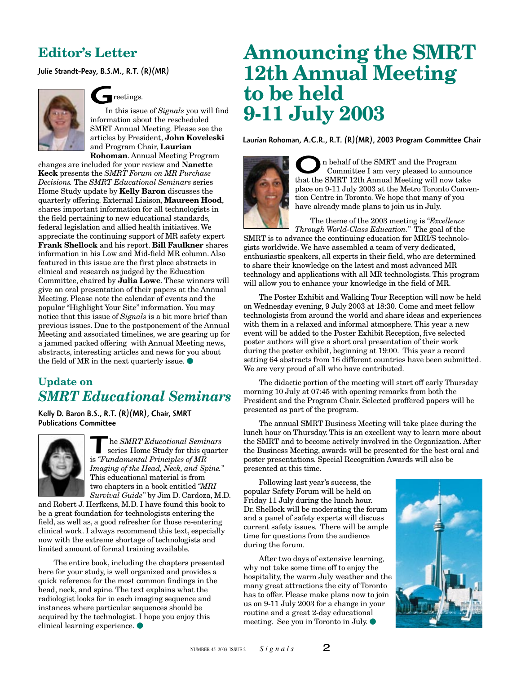### **Editor's Letter**

Julie Strandt-Peay, B.S.M., R.T. (R)(MR)



### reetings.

G In this issue of *Signals* you will find information about the rescheduled SMRT Annual Meeting. Please see the articles by President, **John Koveleski** and Program Chair, **Laurian Rohoman**. Annual Meeting Program

changes are included for your review and **Nanette Keck** presents the *SMRT Forum on MR Purchase Decisions.* The *SMRT Educational Seminars* series Home Study update by **Kelly Baron** discusses the quarterly offering. External Liaison, **Maureen Hood**, shares important information for all technologists in the field pertaining to new educational standards, federal legislation and allied health initiatives. We appreciate the continuing support of MR safety expert **Frank Shellock** and his report. **Bill Faulkner** shares information in his Low and Mid-field MR column. Also featured in this issue are the first place abstracts in clinical and research as judged by the Education Committee, chaired by **Julia Lowe**. These winners will give an oral presentation of their papers at the Annual Meeting. Please note the calendar of events and the popular "Highlight Your Site" information. You may notice that this issue of *Signals* is a bit more brief than previous issues. Due to the postponement of the Annual Meeting and associated timelines, we are gearing up for a jammed packed offering with Annual Meeting news, abstracts, interesting articles and news for you about the field of MR in the next quarterly issue.  $\bullet$ 

### **Update on** *SMRT Educational Seminars*

Kelly D. Baron B.S., R.T. (R)(MR), Chair, SMRT Publications Committee



The *SMRT Educational Seminars*<br>series Home Study for this quarter is "Fundamental Principles of MR series Home Study for this quarter is *"Fundamental Principles of MR Imaging of the Head, Neck, and Spine."* This educational material is from two chapters in a book entitled *"MRI Survival Guide"* by Jim D. Cardoza, M.D.

and Robert J. Herfkens, M.D. I have found this book to be a great foundation for technologists entering the field, as well as, a good refresher for those re-entering clinical work. I always recommend this text, especially now with the extreme shortage of technologists and limited amount of formal training available.

The entire book, including the chapters presented here for your study, is well organized and provides a quick reference for the most common findings in the head, neck, and spine. The text explains what the radiologist looks for in each imaging sequence and instances where particular sequences should be acquired by the technologist. I hope you enjoy this clinical learning experience.

# **Announcing the SMRT 12th Annual Meeting to be held 9-11 July 2003**

Laurian Rohoman, A.C.R., R.T. (R)(MR), 2003 Program Committee Chair



O n behalf of the SMRT and the Program that the SMRT 12th Annual Meeting will now take Committee I am very pleased to announce place on 9-11 July 2003 at the Metro Toronto Convention Centre in Toronto. We hope that many of you have already made plans to join us in July.

The theme of the 2003 meeting is *"Excellence Through World-Class Education."* The goal of the

SMRT is to advance the continuing education for MRI/S technologists worldwide. We have assembled a team of very dedicated, enthusiastic speakers, all experts in their field, who are determined to share their knowledge on the latest and most advanced MR technology and applications with all MR technologists. This program will allow you to enhance your knowledge in the field of MR.

The Poster Exhibit and Walking Tour Reception will now be held on Wednesday evening, 9 July 2003 at 18:30. Come and meet fellow technologists from around the world and share ideas and experiences with them in a relaxed and informal atmosphere. This year a new event will be added to the Poster Exhibit Reception, five selected poster authors will give a short oral presentation of their work during the poster exhibit, beginning at 19:00. This year a record setting 64 abstracts from 16 different countries have been submitted. We are very proud of all who have contributed.

The didactic portion of the meeting will start off early Thursday morning 10 July at 07:45 with opening remarks from both the President and the Program Chair. Selected proffered papers will be presented as part of the program.

The annual SMRT Business Meeting will take place during the lunch hour on Thursday. This is an excellent way to learn more about the SMRT and to become actively involved in the Organization. After the Business Meeting, awards will be presented for the best oral and poster presentations. Special Recognition Awards will also be presented at this time.

Following last year's success, the popular Safety Forum will be held on Friday 11 July during the lunch hour. Dr. Shellock will be moderating the forum and a panel of safety experts will discuss current safety issues. There will be ample time for questions from the audience during the forum.

After two days of extensive learning, why not take some time off to enjoy the hospitality, the warm July weather and the many great attractions the city of Toronto has to offer. Please make plans now to join us on 9-11 July 2003 for a change in your routine and a great 2-day educational meeting. See you in Toronto in July.

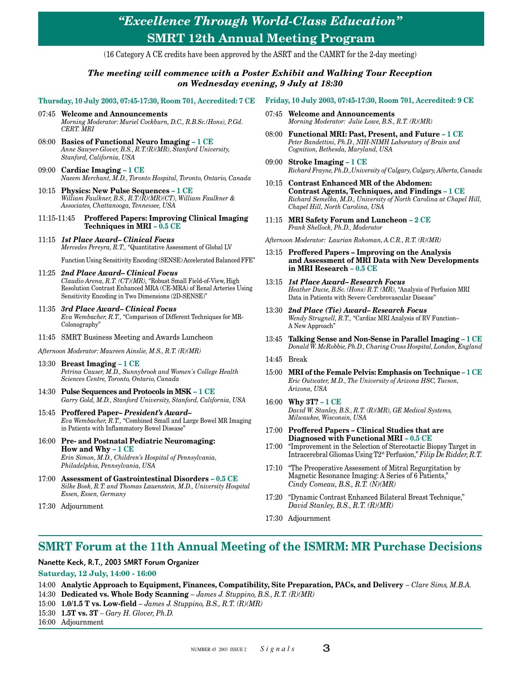### *"Excellence Through World-Class Education"* **SMRT 12th Annual Meeting Program**

(16 Category A CE credits have been approved by the ASRT and the CAMRT for the 2-day meeting)

#### *The meeting will commence with a Poster Exhibit and Walking Tour Reception on Wednesday evening, 9 July at 18:30*

#### **Thursday, 10 July 2003, 07:45-17:30, Room 701, Accredited: 7 CE**

- 07:45 **Welcome and Announcements** *Morning Moderator: Muriel Cockburn, D.C., R.B.Sc.(Hons), P.Gd. CERT. MRI*
- 08:00 **Basics of Functional Neuro Imaging 1 CE** *Anne Sawyer-Glover, B.S., R.T.(R)(MR), Stanford University, Stanford, California, USA*
- 09:00 **Cardiac Imaging 1 CE** *Naeem Merchant, M.D., Toronto Hospital, Toronto, Ontario, Canada*
- 10:15 **Physics: New Pulse Sequences 1 CE** *William Faulkner, B.S., R.T.(R)(MR)(CT), William Faulkner & Associates, Chattanooga, Tennessee, USA*
- 11:15-11:45 **Proffered Papers: Improving Clinical Imaging Techniques in MRI – 0.5 CE**
- 11:15 *1st Place Award– Clinical Focus Mercedes Pereyra, R.T.,* "Quantitative Assessment of Global LV

Function Using Sensitivity Encoding (SENSE) Accelerated Balanced FFE"

- 11:25 *2nd Place Award– Clinical Focus Claudio Arena, R.T. (CT)(MR),* "Robust Small Field-of-View, High Resolution Contrast Enhanced MRA (CE-MRA) of Renal Arteries Using Sensitivity Encoding in Two Dimensions (2D-SENSE)"
- 11:35 *3rd Place Award– Clinical Focus Eva Wembacher, R.T.,* "Comparison of Different Techniques for MR-Colonography"
- 11:45 SMRT Business Meeting and Awards Luncheon
- *Afternoon Moderator: Maureen Ainslie, M.S., R.T. (R)(MR)*
- 13:30 **Breast Imaging 1 CE** *Petrina Causer, M.D., Sunnybrook and Women's College Health Sciences Centre, Toronto, Ontario, Canada*
- 14:30 **Pulse Sequences and Protocols in MSK 1 CE** *Garry Gold, M.D., Stanford University, Stanford, California, USA*
- 15:45 **Proffered Paper–** *President's Award– Eva Wembacher, R.T.,* "Combined Small and Large Bowel MR Imaging in Patients with Inflammatory Bowel Disease"
- 16:00 **Pre- and Postnatal Pediatric Neuromaging: How and Why – 1 CE** *Erin Simon, M.D., Children's Hospital of Pennsylvania, Philadelphia, Pennsylvania, USA*
- 17:00 **Assessment of Gastrointestinal Disorders 0.5 CE** *Silke Bosk, R.T. and Thomas Lauenstein, M.D., University Hospital Essen, Essen, Germany*
- 17:30 Adjournment

#### **Friday, 10 July 2003, 07:45-17:30, Room 701, Accredited: 9 CE**

- 07:45 **Welcome and Announcements** *Morning Moderator: Julie Lowe, B.S., R.T. (R)(MR)*
- 08:00 **Functional MRI: Past, Present, and Future 1 CE** *Peter Bandettini, Ph.D., NIH-NIMH Laboratory of Brain and Cognition, Bethesda, Maryland, USA*
- 09:00 **Stroke Imaging 1 CE** *Richard Frayne, Ph.D.,University of Calgary, Calgary, Alberta, Canada*
- 10:15 **Contrast Enhanced MR of the Abdomen: Contrast Agents, Techniques, and Findings – 1 CE** *Richard Semelka, M.D., University of North Carolina at Chapel Hill, Chapel Hill, North Carolina, USA*
- 11:15 **MRI Safety Forum and Luncheon 2 CE** *Frank Shellock, Ph.D., Moderator*

*Afternoon Moderator: Laurian Rohoman, A.C.R., R.T. (R)(MR)*

- 13:15 **Proffered Papers Improving on the Analysis and Assessment of MRI Data with New Developments in MRI Research – 0.5 CE**
- 13:15 *1st Place Award– Research Focus Heather Ducie, B.Sc. (Hons) R.T. (MR),* "Analysis of Perfusion MRI Data in Patients with Severe Cerebrovascular Disease"
- 13:30 *2nd Place (Tie) Award– Research Focus Wendy Strugnell, R.T.,* "Cardiac MRI Analysis of RV Function– A New Approach"
- 13:45 **Talking Sense and Non-Sense in Parallel Imaging 1 CE** *Donald W. McRobbie, Ph.D., Charing Cross Hospital, London, England*
- 14:45 Break
- 15:00 **MRI of the Female Pelvis: Emphasis on Technique 1 CE** *Eric Outwater, M.D., The University of Arizona HSC, Tucson, Arizona, USA*
- 16:00 **Why 3T? 1 CE** *David W. Stanley, B.S., R.T. (R)(MR), GE Medical Systems, Milwaukee, Wisconsin, USA*
- 17:00 **Proffered Papers Clinical Studies that are Diagnosed with Functional MRI – 0.5 CE**
- 17:00 "Improvement in the Selection of Stereotactic Biopsy Target in Intracerebral Gliomas Using T2\* Perfusion," *Filip De Ridder, R.T.*
- 17:10 "The Preoperative Assessment of Mitral Regurgitation by Magnetic Resonance Imaging: A Series of 6 Patients," *Cindy Comeau, B.S., R.T. (N)(MR)*
- 17:20 "Dynamic Contrast Enhanced Bilateral Breast Technique," *David Stanley, B.S., R.T. (R)(MR)*
- 17:30 Adjournment

### **SMRT Forum at the 11th Annual Meeting of the ISMRM: MR Purchase Decisions**

Nanette Keck, R.T., 2003 SMRT Forum Organizer

#### **Saturday, 12 July, 14:00 - 16:00**

- 14:00 **Analytic Approach to Equipment, Finances, Compatibility, Site Preparation, PACs, and Delivery** *Clare Sims, M.B.A.*
- 14:30 **Dedicated vs. Whole Body Scanning** *James J. Stuppino, B.S., R.T. (R)(MR)*
- 15:00 **1.0/1.5 T vs. Low-field** *James J. Stuppino, B.S., R.T. (R)(MR)*
- 15:30 **1.5T vs. 3T** *Gary H. Glover, Ph.D.*
- 16:00 Adjournment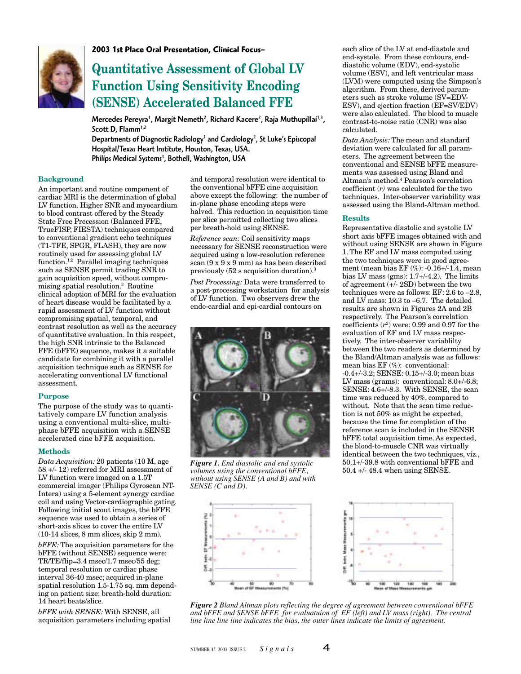

**2003 1st Place Oral Presentation, Clinical Focus–**

### **Quantitative Assessment of Global LV Function Using Sensitivity Encoding (SENSE) Accelerated Balanced FFE**

Mercedes Pereyra<sup>1</sup>, Margit Nemeth<sup>2</sup>, Richard Kacere<sup>2</sup>, Raja Muthupillai<sup>1,3</sup>, Scott D,  $Flamm<sup>1,2</sup>$ 

Departments of Diagnostic Radiology<sup>1</sup> and Cardiology<sup>2</sup>, St Luke's Episcopal Hospital/Texas Heart Institute, Houston, Texas, USA. Philips Medical Systems<sup>3</sup>, Bothell, Washington, USA

#### **Background**

An important and routine component of cardiac MRI is the determination of global LV function. Higher SNR and myocardium to blood contrast offered by the Steady State Free Precession (Balanced FFE, TrueFISP, FIESTA) techniques compared to conventional gradient echo techniques (T1-TFE, SPGR, FLASH), they are now routinely used for assessing global LV function.1,2 Parallel imaging techniques such as SENSE permit trading SNR to gain acquisition speed, without compromising spatial resolution.3 Routine clinical adoption of MRI for the evaluation of heart disease would be facilitated by a rapid assessment of LV function without compromising spatial, temporal, and contrast resolution as well as the accuracy of quantitative evaluation. In this respect, the high SNR intrinsic to the Balanced FFE (bFFE) sequence, makes it a suitable candidate for combining it with a parallel acquisition technique such as SENSE for accelerating conventional LV functional assessment.

#### **Purpose**

The purpose of the study was to quantitatively compare LV function analysis using a conventional multi-slice, multiphase bFFE acquisition with a SENSE accelerated cine bFFE acquisition.

#### **Methods**

*Data Acquisition:* 20 patients (10 M, age 58 +/- 12) referred for MRI assessment of LV function were imaged on a 1.5T commercial imager (Philips Gyroscan NT-Intera) using a 5-element synergy cardiac coil and using Vector-cardiographic gating. Following initial scout images, the bFFE sequence was used to obtain a series of short-axis slices to cover the entire LV (10-14 slices, 8 mm slices, skip 2 mm).

*bFFE:* The acquisition parameters for the bFFE (without SENSE) sequence were: TR/TE/flip=3.4 msec/1.7 msec/55 deg; temporal resolution or cardiac phase interval 36-40 msec; acquired in-plane spatial resolution 1.5-1.75 sq. mm depending on patient size; breath-hold duration: 14 heart beats/slice.

*bFFE with SENSE:* With SENSE, all acquisition parameters including spatial

and temporal resolution were identical to the conventional bFFE cine acquisition above except the following: the number of in-plane phase encoding steps were halved. This reduction in acquisition time per slice permitted collecting two slices per breath-hold using SENSE.

*Reference scan:* Coil sensitivity maps necessary for SENSE reconstruction were acquired using a low-resolution reference scan (9 x 9 x 9 mm) as has been described previously (52 s acquisition duration).3

*Post Processing:* Data were transferred to a post-processing workstation for analysis of LV function. Two observers drew the endo-cardial and epi-cardial contours on



*Figure 1. End diastolic and end systolic volumes using the conventional bFFE, without using SENSE (A and B) and with SENSE (C and D).*



each slice of the LV at end-diastole and end-systole. From these contours, enddiastolic volume (EDV), end-systolic volume (ESV), and left ventricular mass (LVM) were computed using the Simpson's algorithm. From these, derived parameters such as stroke volume (SV=EDV-ESV), and ejection fraction (EF=SV/EDV) were also calculated. The blood to muscle contrast-to-noise ratio (CNR) was also calculated.

*Data Analysis:* The mean and standard deviation were calculated for all parameters. The agreement between the conventional and SENSE bFFE measurements was assessed using Bland and Altman's method.4 Pearson's correlation coefficient (*r)* was calculated for the two techniques. Inter-observer variability was assessed using the Bland-Altman method.

#### **Results**

Representative diastolic and systolic LV short axis bFFE images obtained with and without using SENSE are shown in Figure 1. The EF and LV mass computed using the two techniques were in good agreement (mean bias EF (%): -0.16+/-1.4, mean bias LV mass (gms): 1.7+/-4.2). The limits of agreement (+/- 2SD) between the two techniques were as follows: EF: 2.6 to –2.8, and LV mass: 10.3 to –6.7. The detailed results are shown in Figures 2A and 2B respectively. The Pearson's correlation coefficients (*r2* ) were: 0.99 and 0.97 for the evaluation of EF and LV mass respectively. The inter-observer variablilty between the two readers as determined by the Bland/Altman analysis was as follows: mean bias EF (%): conventional: -0.4+/-3.2; SENSE: 0.15+/-3.0; mean bias LV mass (grams): conventional: 8.0+/-6.8; SENSE:  $4.6 + (-8.3$ . With SENSE, the scan time was reduced by 40%, compared to without. Note that the scan time reduction is not 50% as might be expected, because the time for completion of the reference scan is included in the SENSE bFFE total acquisition time. As expected, the blood-to-muscle CNR was virtually identical between the two techniques, viz., 50.1+/-39.8 with conventional bFFE and 50.4 +/- 48.4 when using SENSE.



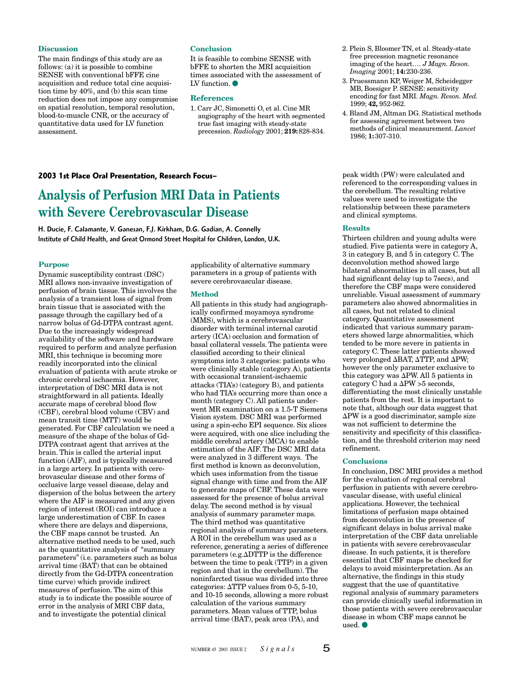#### **Discussion**

The main findings of this study are as follows: (a) it is possible to combine SENSE with conventional bFFE cine acquisition and reduce total cine acquisition time by 40%, and (b) this scan time reduction does not impose any compromise on spatial resolution, temporal resolution, blood-to-muscle CNR, or the accuracy of quantitative data used for LV function assessment.

#### **Conclusion**

It is feasible to combine SENSE with bFFE to shorten the MRI acquisition times associated with the assessment of LV function.

#### **References**

1. Carr JC, Simonetti O, et al. Cine MR angiography of the heart with segmented true fast imaging with steady-state precession. *Radiology* 2001; **219:**828-834.

#### **2003 1st Place Oral Presentation, Research Focus–**

### **Analysis of Perfusion MRI Data in Patients with Severe Cerebrovascular Disease**

H. Ducie, F. Calamante, V. Ganesan, F.J. Kirkham, D.G. Gadian, A. Connelly Institute of Child Health, and Great Ormond Street Hospital for Children, London, U.K.

#### **Purpose**

Dynamic susceptibility contrast (DSC) MRI allows non-invasive investigation of perfusion of brain tissue. This involves the analysis of a transient loss of signal from brain tissue that is associated with the passage through the capillary bed of a narrow bolus of Gd-DTPA contrast agent. Due to the increasingly widespread availability of the software and hardware required to perform and analyze perfusion MRI, this technique is becoming more readily incorporated into the clinical evaluation of patients with acute stroke or chronic cerebral ischaemia. However, interpretation of DSC MRI data is not straightforward in all patients. Ideally accurate maps of cerebral blood flow (CBF), cerebral blood volume (CBV) and mean transit time (MTT) would be generated. For CBF calculation we need a measure of the shape of the bolus of Gd-DTPA contrast agent that arrives at the brain. This is called the arterial input function (AIF), and is typically measured in a large artery. In patients with cerebrovascular disease and other forms of occlusive large vessel disease, delay and dispersion of the bolus between the artery where the AIF is measured and any given region of interest (ROI) can introduce a large underestimation of CBF. In cases where there are delays and dispersions, the CBF maps cannot be trusted. An alternative method needs to be used, such as the quantitative analysis of "summary parameters" (i.e. parameters such as bolus arrival time (BAT) that can be obtained directly from the Gd-DTPA concentration time curve) which provide indirect measures of perfusion. The aim of this study is to indicate the possible source of error in the analysis of MRI CBF data, and to investigate the potential clinical

applicability of alternative summary parameters in a group of patients with severe cerebrovascular disease.

#### **Method**

All patients in this study had angiographically confirmed moyamoya syndrome (MMS), which is a cerebrovascular disorder with terminal internal carotid artery (ICA) occlusion and formation of basal collateral vessels. The patients were classified according to their clinical symptoms into 3 categories: patients who were clinically stable (category A), patients with occasional transient-ischaemic attacks (TIA's) (category B), and patients who had TIA's occurring more than once a month (category C). All patients underwent MR examination on a 1.5-T Siemens Vision system. DSC MRI was performed using a spin-echo EPI sequence. Six slices were acquired, with one slice including the middle cerebral artery (MCA) to enable estimation of the AIF. The DSC MRI data were analyzed in 3 different ways. The first method is known as deconvolution, which uses information from the tissue signal change with time and from the AIF to generate maps of CBF. These data were assessed for the presence of bolus arrival delay. The second method is by visual analysis of summary parameter maps. The third method was quantitative regional analysis of summary parameters. A ROI in the cerebellum was used as a reference, generating a series of difference parameters (e.g. $\triangle DTTP$  is the difference between the time to peak (TTP) in a given region and that in the cerebellum). The noninfarcted tissue was divided into three categories:  $\triangle$ TTP values from 0-5, 5-10, and 10-15 seconds, allowing a more robust calculation of the various summary parameters. Mean values of TTP, bolus arrival time (BAT), peak area (PA), and

- 2. Plein S, Bloomer TN, et al. Steady-state free precession magnetic resonance imaging of the heart…. *J Magn. Reson. Imaging* 2001; **14:**230-236.
- 3. Pruessmann KP, Weiger M, Scheidegger MB, Boesiger P. SENSE: sensitivity encoding for fast MRI. *Magn. Reson. Med.* 1999; **42,** 952-962.
- 4. Bland JM, Altman DG. Statistical methods for assessing agreement between two methods of clinical measurement. *Lancet* 1986; **1:**307-310.

peak width (PW) were calculated and referenced to the corresponding values in the cerebellum. The resulting relative values were used to investigate the relationship between these parameters and clinical symptoms.

#### **Results**

Thirteen children and young adults were studied. Five patients were in category A, 3 in category B, and 5 in category C. The deconvolution method showed large bilateral abnormalities in all cases, but all had significant delay (up to 7secs), and therefore the CBF maps were considered unreliable. Visual assessment of summary parameters also showed abnormalities in all cases, but not related to clinical category. Quantitative assessment indicated that various summary parameters showed large abnormalities, which tended to be more severe in patients in category C. These latter patients showed very prolonged  $\Delta$ BAT,  $\Delta$ TTP, and  $\Delta$ PW; however the only parameter exclusive to this category was  $\Delta$ PW. All 5 patients in category C had a  $\Delta$ PW >5 seconds, differentiating the most clinically unstable patients from the rest. It is important to note that, although our data suggest that  $\Delta$ PW is a good discriminator, sample size was not sufficient to determine the sensitivity and specificity of this classification, and the threshold criterion may need refinement.

#### **Conclusions**

In conclusion, DSC MRI provides a method for the evaluation of regional cerebral perfusion in patients with severe cerebrovascular disease, with useful clinical applications. However, the technical limitations of perfusion maps obtained from deconvolution in the presence of significant delays in bolus arrival make interpretation of the CBF data unreliable in patients with severe cerebrovascular disease. In such patients, it is therefore essential that CBF maps be checked for delays to avoid misinterpretation. As an alternative, the findings in this study suggest that the use of quantitative regional analysis of summary parameters can provide clinically useful information in those patients with severe cerebrovascular disease in whom CBF maps cannot be used.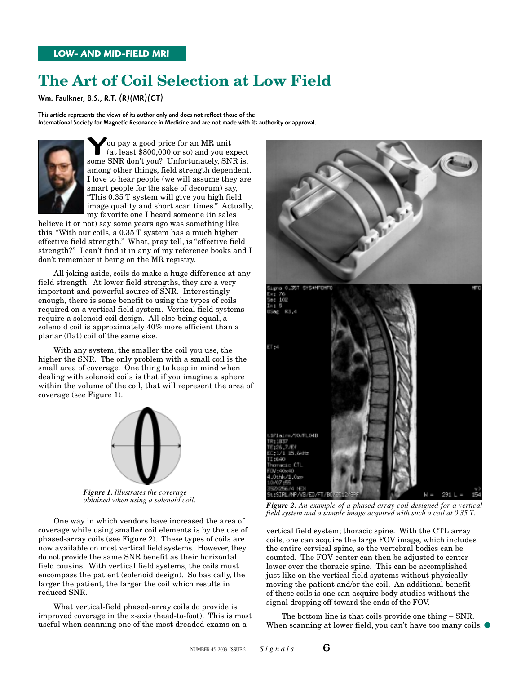### **The Art of Coil Selection at Low Field**

Wm. Faulkner, B.S., R.T. (R)(MR)(CT)

This article represents the views of its author only and does not reflect those of the International Society for Magnetic Resonance in Medicine and are not made with its authority or approval.



**Some SNR** don't you? Unfortunately, SNR is,<br>Some SNR don't you? Unfortunately, SNR is, ou pay a good price for an MR unit (at least \$800,000 or so) and you expect among other things, field strength dependent. I love to hear people (we will assume they are smart people for the sake of decorum) say, "This 0.35 T system will give you high field image quality and short scan times." Actually, my favorite one I heard someone (in sales

believe it or not) say some years ago was something like this, "With our coils, a 0.35 T system has a much higher effective field strength." What, pray tell, is "effective field strength?" I can't find it in any of my reference books and I don't remember it being on the MR registry.

All joking aside, coils do make a huge difference at any field strength. At lower field strengths, they are a very important and powerful source of SNR. Interestingly enough, there is some benefit to using the types of coils required on a vertical field system. Vertical field systems require a solenoid coil design. All else being equal, a solenoid coil is approximately 40% more efficient than a planar (flat) coil of the same size.

With any system, the smaller the coil you use, the higher the SNR. The only problem with a small coil is the small area of coverage. One thing to keep in mind when dealing with solenoid coils is that if you imagine a sphere within the volume of the coil, that will represent the area of coverage (see Figure 1).



*Figure 1. Illustrates the coverage obtained when using a solenoid coil.*

One way in which vendors have increased the area of coverage while using smaller coil elements is by the use of phased-array coils (see Figure 2). These types of coils are now available on most vertical field systems. However, they do not provide the same SNR benefit as their horizontal field cousins. With vertical field systems, the coils must encompass the patient (solenoid design). So basically, the larger the patient, the larger the coil which results in reduced SNR.

What vertical-field phased-array coils do provide is improved coverage in the z-axis (head-to-foot). This is most useful when scanning one of the most dreaded exams on a



*Figure 2. An example of a phased-array coil designed for a vertical field system and a sample image acquired with such a coil at 0.35 T.*

vertical field system; thoracic spine. With the CTL array coils, one can acquire the large FOV image, which includes the entire cervical spine, so the vertebral bodies can be counted. The FOV center can then be adjusted to center lower over the thoracic spine. This can be accomplished just like on the vertical field systems without physically moving the patient and/or the coil. An additional benefit of these coils is one can acquire body studies without the signal dropping off toward the ends of the FOV.

The bottom line is that coils provide one thing – SNR. When scanning at lower field, you can't have too many coils.  $\bullet$ 

$$
-6\,
$$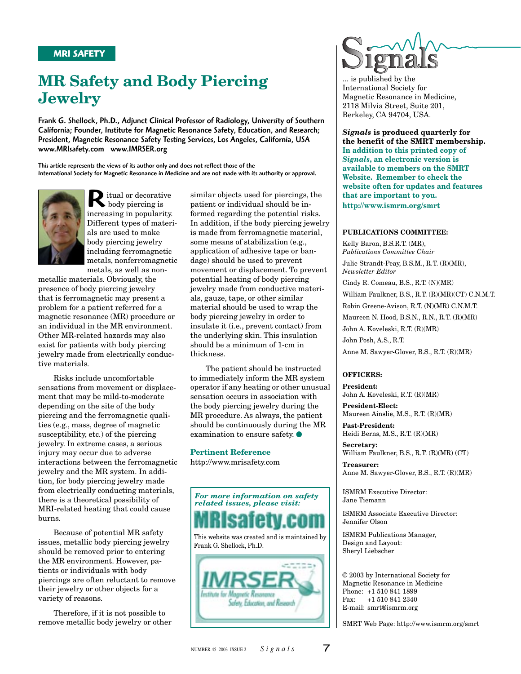### **MR Safety and Body Piercing Jewelry**

Frank G. Shellock, Ph.D., Adjunct Clinical Professor of Radiology, University of Southern California; Founder, Institute for Magnetic Resonance Safety, Education, and Research; President, Magnetic Resonance Safety Testing Services, Los Angeles, California, USA www.MRIsafety.com www.IMRSER.org

This article represents the views of its author only and does not reflect those of the International Society for Magnetic Resonance in Medicine and are not made with its authority or approval.



R itual or decorative body piercing is increasing in popularity. Different types of materials are used to make body piercing jewelry including ferromagnetic metals, nonferromagnetic metals, as well as non-

metallic materials. Obviously, the presence of body piercing jewelry that is ferromagnetic may present a problem for a patient referred for a magnetic resonance (MR) procedure or an individual in the MR environment. Other MR-related hazards may also exist for patients with body piercing jewelry made from electrically conductive materials.

Risks include uncomfortable sensations from movement or displacement that may be mild-to-moderate depending on the site of the body piercing and the ferromagnetic qualities (e.g., mass, degree of magnetic susceptibility, etc.) of the piercing jewelry. In extreme cases, a serious injury may occur due to adverse interactions between the ferromagnetic jewelry and the MR system. In addition, for body piercing jewelry made from electrically conducting materials, there is a theoretical possibility of MRI-related heating that could cause burns.

Because of potential MR safety issues, metallic body piercing jewelry should be removed prior to entering the MR environment. However, patients or individuals with body piercings are often reluctant to remove their jewelry or other objects for a variety of reasons.

Therefore, if it is not possible to remove metallic body jewelry or other similar objects used for piercings, the patient or individual should be informed regarding the potential risks. In addition, if the body piercing jewelry is made from ferromagnetic material, some means of stabilization (e.g., application of adhesive tape or bandage) should be used to prevent movement or displacement. To prevent potential heating of body piercing jewelry made from conductive materials, gauze, tape, or other similar material should be used to wrap the body piercing jewelry in order to insulate it (i.e., prevent contact) from the underlying skin. This insulation should be a minimum of 1-cm in thickness.

The patient should be instructed to immediately inform the MR system operator if any heating or other unusual sensation occurs in association with the body piercing jewelry during the MR procedure. As always, the patient should be continuously during the MR examination to ensure safety.

#### **Pertinent Reference**

http://www.mrisafety.com





... is published by the International Society for Magnetic Resonance in Medicine, 2118 Milvia Street, Suite 201, Berkeley, CA 94704, USA.

*Signals* **is produced quarterly for the benefit of the SMRT membership. In addition to this printed copy of** *Signals***, an electronic version is available to members on the SMRT Website. Remember to check the website often for updates and features that are important to you. http://www.ismrm.org/smrt**

#### **PUBLICATIONS COMMITTEE:**

Kelly Baron, B.S.R.T. (MR), *Publications Committee Chair* Julie Strandt-Peay, B.S.M., R.T. (R)(MR), *Newsletter Editor* Cindy R. Comeau, B.S., R.T. (N)(MR) William Faulkner, B.S., R.T. (R)(MR)(CT) C.N.M.T. Robin Greene-Avison, R.T. (N)(MR) C.N.M.T. Maureen N. Hood, B.S.N., R.N., R.T. (R)(MR) John A. Koveleski, R.T. (R)(MR) John Posh, A.S., R.T. Anne M. Sawyer-Glover, B.S., R.T. (R)(MR)

#### **OFFICERS:**

**President:** John A. Koveleski, R.T. (R)(MR)

**President-Elect:** Maureen Ainslie, M.S., R.T. (R)(MR)

**Past-President:** Heidi Berns, M.S., R.T. (R)(MR)

**Secretary:** William Faulkner, B.S., R.T. (R)(MR) (CT)

**Treasurer:** Anne M. Sawyer-Glover, B.S., R.T. (R)(MR)

ISMRM Executive Director: Jane Tiemann

ISMRM Associate Executive Director: Jennifer Olson

ISMRM Publications Manager, Design and Layout: Sheryl Liebscher

© 2003 by International Society for Magnetic Resonance in Medicine Phone: +1 510 841 1899 Fax: +1 510 841 2340 E-mail: smrt@ismrm.org

SMRT Web Page: http://www.ismrm.org/smrt